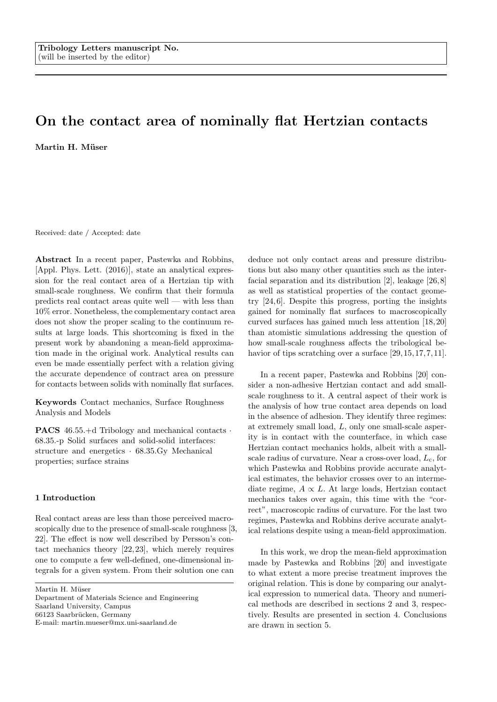# On the contact area of nominally flat Hertzian contacts Martin H. Müser

Received: date / Accepted: date

Abstract In a recent paper, Pastewka and Robbins, [Appl. Phys. Lett. (2016)], state an analytical expression for the real contact area of a Hertzian tip with small-scale roughness. We confirm that their formula predicts real contact areas quite well — with less than 10% error. Nonetheless, the complementary contact area does not show the proper scaling to the continuum results at large loads. This shortcoming is fixed in the present work by abandoning a mean-field approximation made in the original work. Analytical results can even be made essentially perfect with a relation giving the accurate dependence of contract area on pressure for contacts between solids with nominally flat surfaces.

Keywords Contact mechanics, Surface Roughness Analysis and Models

PACS 46.55.+d Tribology and mechanical contacts · 68.35.-p Solid surfaces and solid-solid interfaces: structure and energetics · 68.35.Gy Mechanical properties; surface strains

## 1 Introduction

Real contact areas are less than those perceived macroscopically due to the presence of small-scale roughness [3, 22]. The effect is now well described by Persson's contact mechanics theory [22, 23], which merely requires one to compute a few well-defined, one-dimensional integrals for a given system. From their solution one can

Martin H. Müser

Department of Materials Science and Engineering Saarland University, Campus 66123 Saarbrücken, Germany

E-mail: martin.mueser@mx.uni-saarland.de

deduce not only contact areas and pressure distributions but also many other quantities such as the interfacial separation and its distribution [2], leakage [26, 8] as well as statistical properties of the contact geometry [24, 6]. Despite this progress, porting the insights gained for nominally flat surfaces to macroscopically curved surfaces has gained much less attention [18, 20] than atomistic simulations addressing the question of how small-scale roughness affects the tribological behavior of tips scratching over a surface [29, 15, 17, 7, 11].

In a recent paper, Pastewka and Robbins [20] consider a non-adhesive Hertzian contact and add smallscale roughness to it. A central aspect of their work is the analysis of how true contact area depends on load in the absence of adhesion. They identify three regimes: at extremely small load, L, only one small-scale asperity is in contact with the counterface, in which case Hertzian contact mechanics holds, albeit with a smallscale radius of curvature. Near a cross-over load,  $L_c$ , for which Pastewka and Robbins provide accurate analytical estimates, the behavior crosses over to an intermediate regime,  $A \propto L$ . At large loads, Hertzian contact mechanics takes over again, this time with the "correct", macroscopic radius of curvature. For the last two regimes, Pastewka and Robbins derive accurate analytical relations despite using a mean-field approximation.

In this work, we drop the mean-field approximation made by Pastewka and Robbins [20] and investigate to what extent a more precise treatment improves the original relation. This is done by comparing our analytical expression to numerical data. Theory and numerical methods are described in sections 2 and 3, respectively. Results are presented in section 4. Conclusions are drawn in section 5.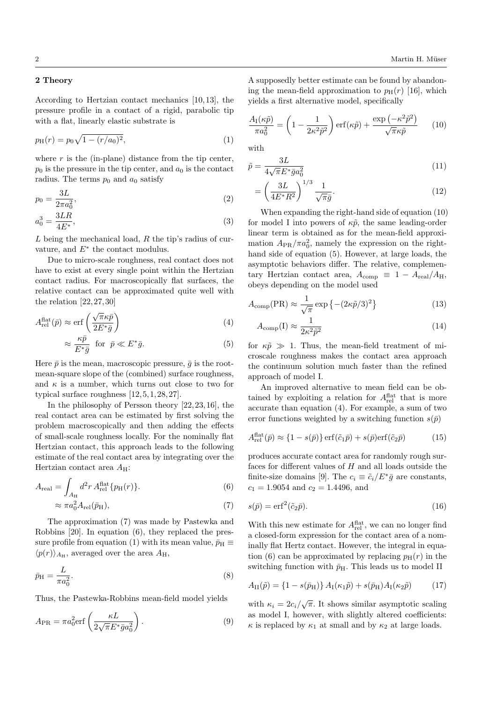## 2 Theory

According to Hertzian contact mechanics [10, 13], the pressure profile in a contact of a rigid, parabolic tip with a flat, linearly elastic substrate is

$$
p_{\rm H}(r) = p_0 \sqrt{1 - (r/a_0)^2},\tag{1}
$$

where  $r$  is the (in-plane) distance from the tip center,  $p_0$  is the pressure in the tip center, and  $a_0$  is the contact radius. The terms  $p_0$  and  $a_0$  satisfy

$$
p_0 = \frac{3L}{2\pi a_0^2},\tag{2}
$$

$$
a_0^3 = \frac{3LR}{4E^*},\tag{3}
$$

 $L$  being the mechanical load,  $R$  the tip's radius of curvature, and  $E^*$  the contact modulus.

Due to micro-scale roughness, real contact does not have to exist at every single point within the Hertzian contact radius. For macroscopically flat surfaces, the relative contact can be approximated quite well with the relation  $[22, 27, 30]$ 

$$
A_{\rm rel}^{\rm flat}(\bar{p}) \approx \text{erf}\left(\frac{\sqrt{\pi}\kappa\bar{p}}{2E^*\bar{g}}\right) \tag{4}
$$

$$
\approx \frac{\kappa \bar{p}}{E^*\bar{g}} \quad \text{for} \quad \bar{p} \ll E^*\bar{g}.\tag{5}
$$

Here  $\bar{p}$  is the mean, macroscopic pressure,  $\bar{q}$  is the rootmean-square slope of the (combined) surface roughness, and  $\kappa$  is a number, which turns out close to two for typical surface roughness  $[12, 5, 1, 28, 27]$ .

In the philosophy of Persson theory [22, 23, 16], the real contact area can be estimated by first solving the problem macroscopically and then adding the effects of small-scale roughness locally. For the nominally flat Hertzian contact, this approach leads to the following estimate of the real contact area by integrating over the Hertzian contact area  $A_H$ :

$$
A_{\text{real}} = \int_{A_{\text{H}}} d^2 r \, A_{\text{rel}}^{\text{flat}} \{p_{\text{H}}(r)\}.
$$
 (6)

$$
\approx \pi a_0^2 A_{\text{rel}}(\bar{p}_{\text{H}}),\tag{7}
$$

The approximation (7) was made by Pastewka and Robbins [20]. In equation (6), they replaced the pressure profile from equation (1) with its mean value,  $\bar{p}_H \equiv$  $\langle p(r) \rangle_{A_{\rm H}}$ , averaged over the area  $A_{\rm H}$ ,

$$
\bar{p}_{\rm H} = \frac{L}{\pi a_0^2}.\tag{8}
$$

Thus, the Pastewka-Robbins mean-field model yields

$$
A_{\rm PR} = \pi a_0^2 \text{erf}\left(\frac{\kappa L}{2\sqrt{\pi}E^*\bar{g}a_0^2}\right). \tag{9}
$$

A supposedly better estimate can be found by abandoning the mean-field approximation to  $p_H(r)$  [16], which yields a first alternative model, specifically

$$
\frac{A_{\rm I}(\kappa \tilde{p})}{\pi a_0^2} = \left(1 - \frac{1}{2\kappa^2 \tilde{p}^2}\right) \text{erf}(\kappa \tilde{p}) + \frac{\exp(-\kappa^2 \tilde{p}^2)}{\sqrt{\pi} \kappa \tilde{p}} \qquad (10)
$$

with

$$
\tilde{p} = \frac{3L}{4\sqrt{\pi}E^*\bar{g}a_0^2} \tag{11}
$$

$$
=\left(\frac{3L}{4E^*R^2}\right)^{1/3}\frac{1}{\sqrt{\pi}\bar{g}}.\tag{12}
$$

When expanding the right-hand side of equation (10) for model I into powers of  $\kappa \tilde{p}$ , the same leading-order linear term is obtained as for the mean-field approximation  $A_{\rm PR}/\pi a_0^2$ , namely the expression on the righthand side of equation (5). However, at large loads, the asymptotic behaviors differ. The relative, complementary Hertzian contact area,  $A_{\text{comp}} \equiv 1 - A_{\text{real}}/A_{\text{H}},$ obeys depending on the model used

$$
A_{\text{comp}}(\text{PR}) \approx \frac{1}{\sqrt{\pi}} \exp\left\{-(2\kappa \tilde{p}/3)^2\right\} \tag{13}
$$

$$
A_{\text{comp}}(\mathbf{I}) \approx \frac{1}{2\kappa^2 \tilde{p}^2} \tag{14}
$$

for  $\kappa\tilde{p} \gg 1$ . Thus, the mean-field treatment of microscale roughness makes the contact area approach the continuum solution much faster than the refined approach of model I.

An improved alternative to mean field can be obtained by exploiting a relation for  $A_{rel}^{\text{flat}}$  that is more accurate than equation (4). For example, a sum of two error functions weighted by a switching function  $s(\bar{p})$ 

$$
A_{\rm rel}^{\rm flat}(\bar{p}) \approx \{1 - s(\bar{p})\} \operatorname{erf}(\tilde{c}_1 \bar{p}) + s(\bar{p}) \operatorname{erf}(\tilde{c}_2 \bar{p}) \tag{15}
$$

produces accurate contact area for randomly rough surfaces for different values of  $H$  and all loads outside the finite-size domains [9]. The  $c_i \equiv \tilde{c}_i / E^* \bar{g}$  are constants,  $c_1 = 1.9054$  and  $c_2 = 1.4496$ , and

$$
s(\bar{p}) = \text{erf}^2(\tilde{c}_2 \bar{p}).\tag{16}
$$

With this new estimate for  $A_{rel}^{\text{flat}}$ , we can no longer find a closed-form expression for the contact area of a nominally flat Hertz contact. However, the integral in equation (6) can be approximated by replacing  $p_H(r)$  in the switching function with  $\bar{p}_{\rm H}$ . This leads us to model II

$$
A_{\rm II}(\tilde{p}) = \{1 - s(\bar{p}_{\rm H})\} A_{\rm I}(\kappa_1 \tilde{p}) + s(\bar{p}_{\rm H}) A_{\rm I}(\kappa_2 \tilde{p}) \tag{17}
$$

with  $\kappa_i = 2c_i/\sqrt{\pi}$ . It shows similar asymptotic scaling as model I, however, with slightly altered coefficients:  $\kappa$  is replaced by  $\kappa_1$  at small and by  $\kappa_2$  at large loads.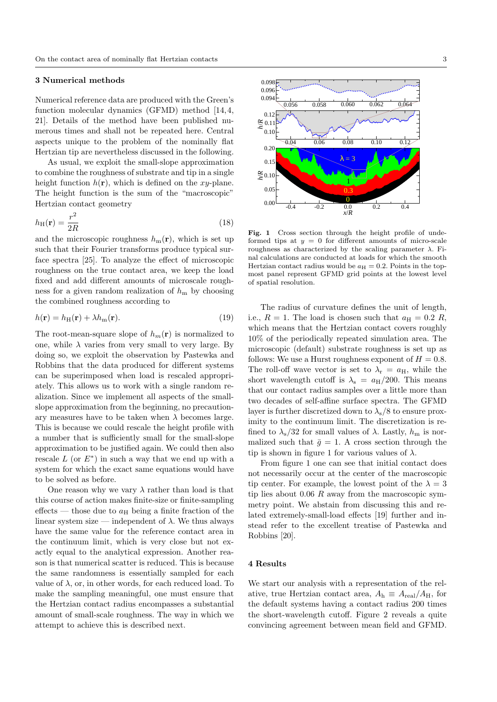### 3 Numerical methods

Numerical reference data are produced with the Green's function molecular dynamics (GFMD) method [14, 4, 21]. Details of the method have been published numerous times and shall not be repeated here. Central aspects unique to the problem of the nominally flat Hertzian tip are nevertheless discussed in the following.

As usual, we exploit the small-slope approximation to combine the roughness of substrate and tip in a single height function  $h(\mathbf{r})$ , which is defined on the xy-plane. The height function is the sum of the "macroscopic" Hertzian contact geometry

$$
h_{\rm H}(\mathbf{r}) = \frac{r^2}{2R} \tag{18}
$$

and the microscopic roughness  $h_{\rm m}(\mathbf{r})$ , which is set up such that their Fourier transforms produce typical surface spectra [25]. To analyze the effect of microscopic roughness on the true contact area, we keep the load fixed and add different amounts of microscale roughness for a given random realization of  $h<sub>m</sub>$  by choosing the combined roughness according to

$$
h(\mathbf{r}) = h_{\mathrm{H}}(\mathbf{r}) + \lambda h_{\mathrm{m}}(\mathbf{r}).\tag{19}
$$

The root-mean-square slope of  $h_m(\mathbf{r})$  is normalized to one, while  $\lambda$  varies from very small to very large. By doing so, we exploit the observation by Pastewka and Robbins that the data produced for different systems can be superimposed when load is rescaled appropriately. This allows us to work with a single random realization. Since we implement all aspects of the smallslope approximation from the beginning, no precautionary measures have to be taken when  $\lambda$  becomes large. This is because we could rescale the height profile with a number that is sufficiently small for the small-slope approximation to be justified again. We could then also rescale  $L$  (or  $E^*$ ) in such a way that we end up with a system for which the exact same equations would have to be solved as before.

One reason why we vary  $\lambda$  rather than load is that this course of action makes finite-size or finite-sampling effects — those due to  $a_H$  being a finite fraction of the linear system size — independent of  $\lambda$ . We thus always have the same value for the reference contact area in the continuum limit, which is very close but not exactly equal to the analytical expression. Another reason is that numerical scatter is reduced. This is because the same randomness is essentially sampled for each value of  $\lambda$ , or, in other words, for each reduced load. To make the sampling meaningful, one must ensure that the Hertzian contact radius encompasses a substantial amount of small-scale roughness. The way in which we attempt to achieve this is described next.



Fig. 1 Cross section through the height profile of undeformed tips at  $y = 0$  for different amounts of micro-scale roughness as characterized by the scaling parameter  $\lambda$ . Final calculations are conducted at loads for which the smooth Hertzian contact radius would be  $a_H = 0.2$ . Points in the topmost panel represent GFMD grid points at the lowest level of spatial resolution.

The radius of curvature defines the unit of length, i.e.,  $R = 1$ . The load is chosen such that  $a_H = 0.2 R$ , which means that the Hertzian contact covers roughly 10% of the periodically repeated simulation area. The microscopic (default) substrate roughness is set up as follows: We use a Hurst roughness exponent of  $H = 0.8$ . The roll-off wave vector is set to  $\lambda_{\rm r} = a_{\rm H}$ , while the short wavelength cutoff is  $\lambda_s = a_H/200$ . This means that our contact radius samples over a little more than two decades of self-affine surface spectra. The GFMD layer is further discretized down to  $\lambda$ <sub>s</sub>/8 to ensure proximity to the continuum limit. The discretization is refined to  $\lambda_{\rm s}/32$  for small values of  $\lambda$ . Lastly,  $h_{\rm m}$  is normalized such that  $\bar{g} = 1$ . A cross section through the tip is shown in figure 1 for various values of  $\lambda$ .

From figure 1 one can see that initial contact does not necessarily occur at the center of the macroscopic tip center. For example, the lowest point of the  $\lambda = 3$ tip lies about  $0.06 \, R$  away from the macroscopic symmetry point. We abstain from discussing this and related extremely-small-load effects [19] further and instead refer to the excellent treatise of Pastewka and Robbins [20].

## 4 Results

We start our analysis with a representation of the relative, true Hertzian contact area,  $A_h \equiv A_{\text{real}}/A_H$ , for the default systems having a contact radius 200 times the short-wavelength cutoff. Figure 2 reveals a quite convincing agreement between mean field and GFMD.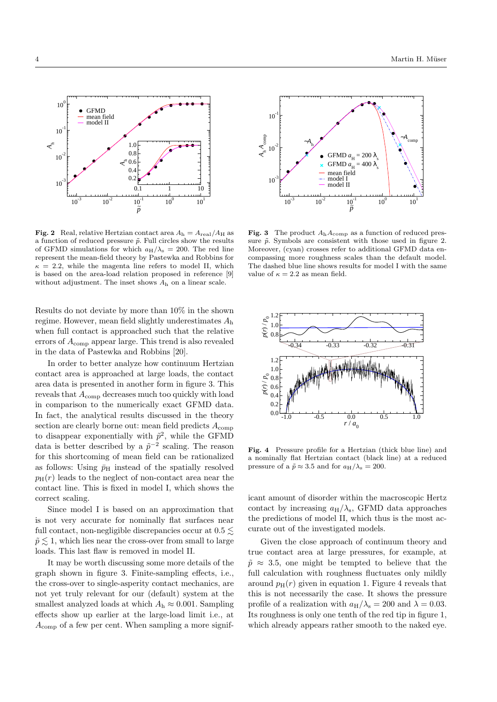

**Fig. 2** Real, relative Hertzian contact area  $A<sub>h</sub> = A<sub>real</sub>/A<sub>H</sub>$  as a function of reduced pressure  $\tilde{p}$ . Full circles show the results of GFMD simulations for which  $a_H/\lambda_s = 200$ . The red line represent the mean-field theory by Pastewka and Robbins for  $\kappa = 2.2$ , while the magenta line refers to model II, which is based on the area-load relation proposed in reference [9] without adjustment. The inset shows A<sup>h</sup> on a linear scale.

Results do not deviate by more than 10% in the shown regime. However, mean field slightly underestimates A<sup>h</sup> when full contact is approached such that the relative errors of Acomp appear large. This trend is also revealed in the data of Pastewka and Robbins [20].

In order to better analyze how continuum Hertzian contact area is approached at large loads, the contact area data is presented in another form in figure 3. This reveals that  $A_{\text{comp}}$  decreases much too quickly with load in comparison to the numerically exact GFMD data. In fact, the analytical results discussed in the theory section are clearly borne out: mean field predicts  $A_{\text{comp}}$ to disappear exponentially with  $\tilde{p}^2$ , while the GFMD data is better described by a  $\tilde{p}^{-2}$  scaling. The reason for this shortcoming of mean field can be rationalized as follows: Using  $\bar{p}_{\rm H}$  instead of the spatially resolved  $p_H(r)$  leads to the neglect of non-contact area near the contact line. This is fixed in model I, which shows the correct scaling.

Since model I is based on an approximation that is not very accurate for nominally flat surfaces near full contact, non-negligible discrepancies occur at  $0.5 \lesssim$  $\tilde{p} \lesssim 1$ , which lies near the cross-over from small to large loads. This last flaw is removed in model II.

It may be worth discussing some more details of the graph shown in figure 3. Finite-sampling effects, i.e., the cross-over to single-asperity contact mechanics, are not yet truly relevant for our (default) system at the smallest analyzed loads at which  $A_h \approx 0.001$ . Sampling effects show up earlier at the large-load limit i.e., at  $A_{\text{comp}}$  of a few per cent. When sampling a more signif-



Fig. 3 The product  $A_h A_{comp}$  as a function of reduced pressure  $\tilde{p}$ . Symbols are consistent with those used in figure 2. Moreover, (cyan) crosses refer to additional GFMD data encompassing more roughness scales than the default model. The dashed blue line shows results for model I with the same value of  $\kappa = 2.2$  as mean field.



Fig. 4 Pressure profile for a Hertzian (thick blue line) and a nominally flat Hertzian contact (black line) at a reduced pressure of a  $\tilde{p} \approx 3.5$  and for  $a_H/\lambda_s = 200$ .

icant amount of disorder within the macroscopic Hertz contact by increasing  $a_H/\lambda_s$ , GFMD data approaches the predictions of model II, which thus is the most accurate out of the investigated models.

Given the close approach of continuum theory and true contact area at large pressures, for example, at  $\tilde{p} \approx 3.5$ , one might be tempted to believe that the full calculation with roughness fluctuates only mildly around  $p_H(r)$  given in equation 1. Figure 4 reveals that this is not necessarily the case. It shows the pressure profile of a realization with  $a_H/\lambda_s = 200$  and  $\lambda = 0.03$ . Its roughness is only one tenth of the red tip in figure 1, which already appears rather smooth to the naked eye.